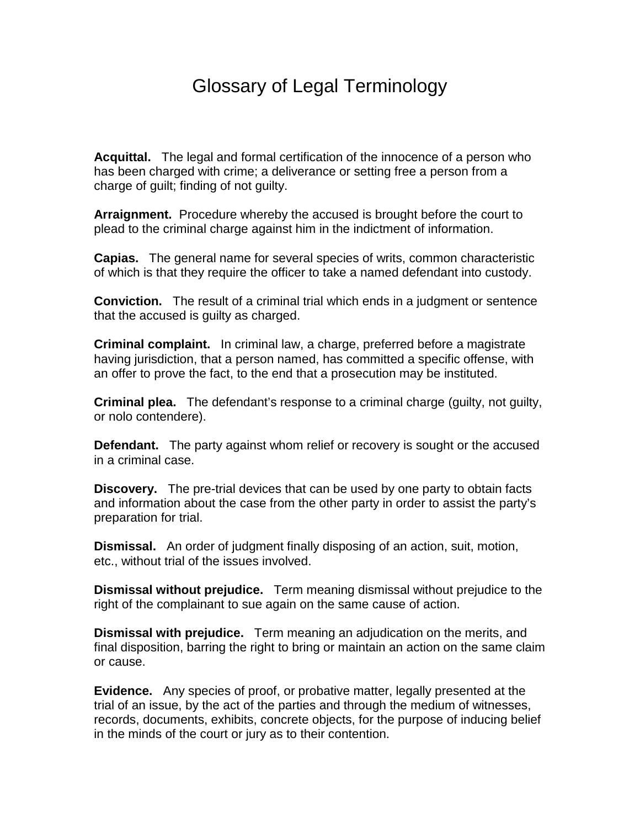## Glossary of Legal Terminology

**Acquittal.** The legal and formal certification of the innocence of a person who has been charged with crime; a deliverance or setting free a person from a charge of guilt; finding of not guilty.

**Arraignment.** Procedure whereby the accused is brought before the court to plead to the criminal charge against him in the indictment of information.

**Capias.** The general name for several species of writs, common characteristic of which is that they require the officer to take a named defendant into custody.

**Conviction.** The result of a criminal trial which ends in a judgment or sentence that the accused is guilty as charged.

**Criminal complaint.** In criminal law, a charge, preferred before a magistrate having jurisdiction, that a person named, has committed a specific offense, with an offer to prove the fact, to the end that a prosecution may be instituted.

**Criminal plea.** The defendant's response to a criminal charge (guilty, not guilty, or nolo contendere).

**Defendant.** The party against whom relief or recovery is sought or the accused in a criminal case.

**Discovery.** The pre-trial devices that can be used by one party to obtain facts and information about the case from the other party in order to assist the party's preparation for trial.

**Dismissal.** An order of judgment finally disposing of an action, suit, motion, etc., without trial of the issues involved.

**Dismissal without prejudice.** Term meaning dismissal without prejudice to the right of the complainant to sue again on the same cause of action.

**Dismissal with prejudice.** Term meaning an adjudication on the merits, and final disposition, barring the right to bring or maintain an action on the same claim or cause.

**Evidence.** Any species of proof, or probative matter, legally presented at the trial of an issue, by the act of the parties and through the medium of witnesses, records, documents, exhibits, concrete objects, for the purpose of inducing belief in the minds of the court or jury as to their contention.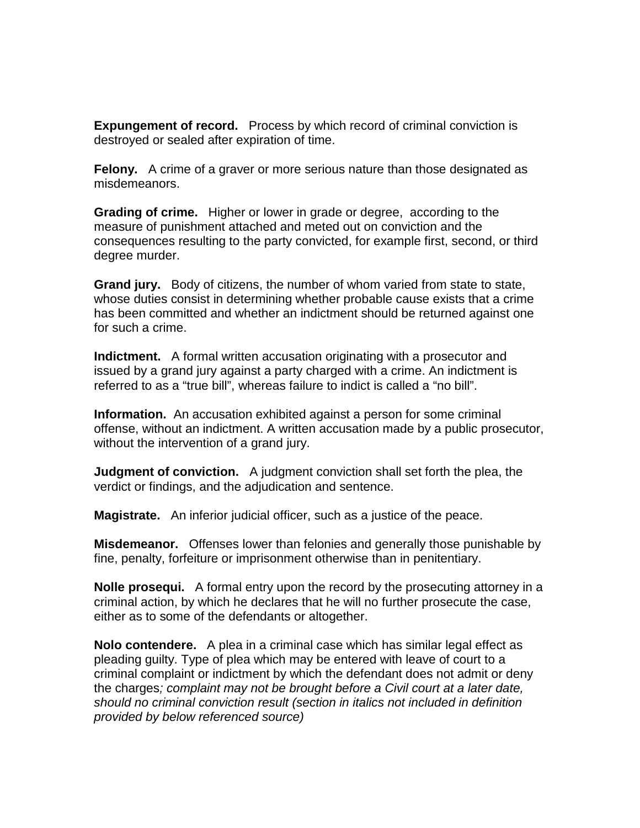**Expungement of record.** Process by which record of criminal conviction is destroyed or sealed after expiration of time.

**Felony.** A crime of a graver or more serious nature than those designated as misdemeanors.

**Grading of crime.** Higher or lower in grade or degree, according to the measure of punishment attached and meted out on conviction and the consequences resulting to the party convicted, for example first, second, or third degree murder.

**Grand jury.** Body of citizens, the number of whom varied from state to state, whose duties consist in determining whether probable cause exists that a crime has been committed and whether an indictment should be returned against one for such a crime.

**Indictment.** A formal written accusation originating with a prosecutor and issued by a grand jury against a party charged with a crime. An indictment is referred to as a "true bill", whereas failure to indict is called a "no bill".

**Information.** An accusation exhibited against a person for some criminal offense, without an indictment. A written accusation made by a public prosecutor, without the intervention of a grand jury.

**Judgment of conviction.** A judgment conviction shall set forth the plea, the verdict or findings, and the adjudication and sentence.

**Magistrate.** An inferior judicial officer, such as a justice of the peace.

**Misdemeanor.** Offenses lower than felonies and generally those punishable by fine, penalty, forfeiture or imprisonment otherwise than in penitentiary.

**Nolle prosequi.** A formal entry upon the record by the prosecuting attorney in a criminal action, by which he declares that he will no further prosecute the case, either as to some of the defendants or altogether.

**Nolo contendere.** A plea in a criminal case which has similar legal effect as pleading guilty. Type of plea which may be entered with leave of court to a criminal complaint or indictment by which the defendant does not admit or deny the charges; complaint may not be brought before a Civil court at a later date, should no criminal conviction result (section in italics not included in definition provided by below referenced source)